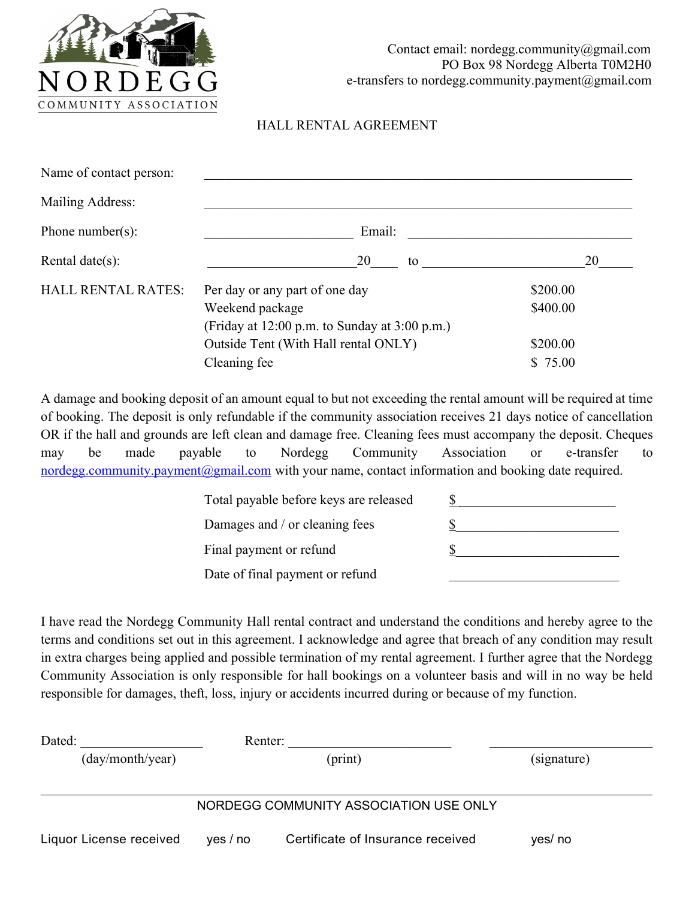

## HALL RENTAL AGREEMENT

| Name of contact person:   |                                                   |          |  |
|---------------------------|---------------------------------------------------|----------|--|
| Mailing Address:          |                                                   |          |  |
| Phone number(s):          | Email:                                            |          |  |
| Rental date $(s)$ :       | 20<br>to                                          | 20       |  |
| <b>HALL RENTAL RATES:</b> | Per day or any part of one day                    | \$200.00 |  |
|                           | Weekend package                                   | \$400.00 |  |
|                           | (Friday at $12:00$ p.m. to Sunday at $3:00$ p.m.) |          |  |
|                           | Outside Tent (With Hall rental ONLY)              | \$200.00 |  |
|                           | Cleaning fee                                      | \$75.00  |  |

A damage and booking deposit of an amount equal to but not exceeding the rental amount will be required at time of booking. The deposit is only refundable if the community association receives 21 days notice of cancellation OR if the hall and grounds are left clean and damage free. Cleaning fees must accompany the deposit. Cheques may be made payable to Nordegg Community Association or e-transfer to nordegg.community.payment@gmail.com with your name, contact information and booking date required.

| Total payable before keys are released |  |
|----------------------------------------|--|
| Damages and / or cleaning fees         |  |
| Final payment or refund                |  |
| Date of final payment or refund        |  |
|                                        |  |

I have read the Nordegg Community Hall rental contract and understand the conditions and hereby agree to the terms and conditions set out in this agreement. I acknowledge and agree that breach of any condition may result in extra charges being applied and possible termination of my rental agreement. I further agree that the Nordegg Community Association is only responsible for hall bookings on a volunteer basis and will in no way be held responsible for damages, theft, loss, injury or accidents incurred during or because of my function.

| Dated:                  | Renter:  |                                        |             |
|-------------------------|----------|----------------------------------------|-------------|
| (day/month/year)        | (print)  |                                        | (signature) |
|                         |          |                                        |             |
|                         |          | NORDEGG COMMUNITY ASSOCIATION USE ONLY |             |
| Liquor License received | yes / no | Certificate of Insurance received      | yes/ no     |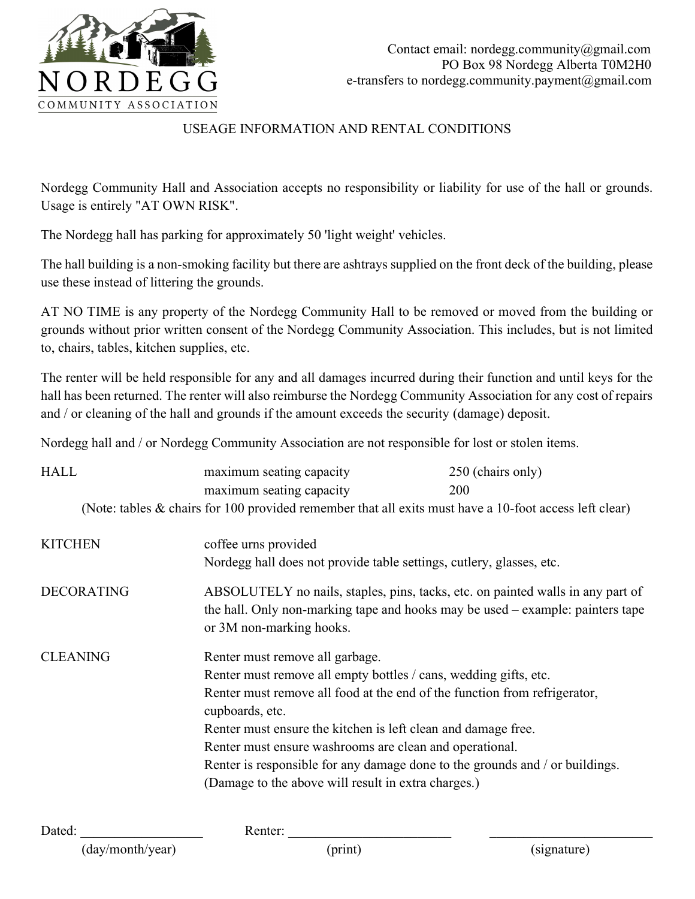

## USEAGE INFORMATION AND RENTAL CONDITIONS

Nordegg Community Hall and Association accepts no responsibility or liability for use of the hall or grounds. Usage is entirely "AT OWN RISK".

The Nordegg hall has parking for approximately 50 'light weight' vehicles.

The hall building is a non-smoking facility but there are ashtrays supplied on the front deck of the building, please use these instead of littering the grounds.

AT NO TIME is any property of the Nordegg Community Hall to be removed or moved from the building or grounds without prior written consent of the Nordegg Community Association. This includes, but is not limited to, chairs, tables, kitchen supplies, etc.

The renter will be held responsible for any and all damages incurred during their function and until keys for the hall has been returned. The renter will also reimburse the Nordegg Community Association for any cost of repairs and / or cleaning of the hall and grounds if the amount exceeds the security (damage) deposit.

Nordegg hall and / or Nordegg Community Association are not responsible for lost or stolen items.

| <b>HALL</b>       | maximum seating capacity                                                                                                                                                                                                                                                                                                                                                                                                                                               | 250 (chairs only) |  |  |
|-------------------|------------------------------------------------------------------------------------------------------------------------------------------------------------------------------------------------------------------------------------------------------------------------------------------------------------------------------------------------------------------------------------------------------------------------------------------------------------------------|-------------------|--|--|
|                   | maximum seating capacity                                                                                                                                                                                                                                                                                                                                                                                                                                               | <b>200</b>        |  |  |
|                   | (Note: tables $\&$ chairs for 100 provided remember that all exits must have a 10-foot access left clear)                                                                                                                                                                                                                                                                                                                                                              |                   |  |  |
| <b>KITCHEN</b>    | coffee urns provided<br>Nordegg hall does not provide table settings, cutlery, glasses, etc.                                                                                                                                                                                                                                                                                                                                                                           |                   |  |  |
| <b>DECORATING</b> | ABSOLUTELY no nails, staples, pins, tacks, etc. on painted walls in any part of<br>the hall. Only non-marking tape and hooks may be used – example: painters tape<br>or 3M non-marking hooks.                                                                                                                                                                                                                                                                          |                   |  |  |
| <b>CLEANING</b>   | Renter must remove all garbage.<br>Renter must remove all empty bottles / cans, wedding gifts, etc.<br>Renter must remove all food at the end of the function from refrigerator,<br>cupboards, etc.<br>Renter must ensure the kitchen is left clean and damage free.<br>Renter must ensure washrooms are clean and operational.<br>Renter is responsible for any damage done to the grounds and / or buildings.<br>(Damage to the above will result in extra charges.) |                   |  |  |